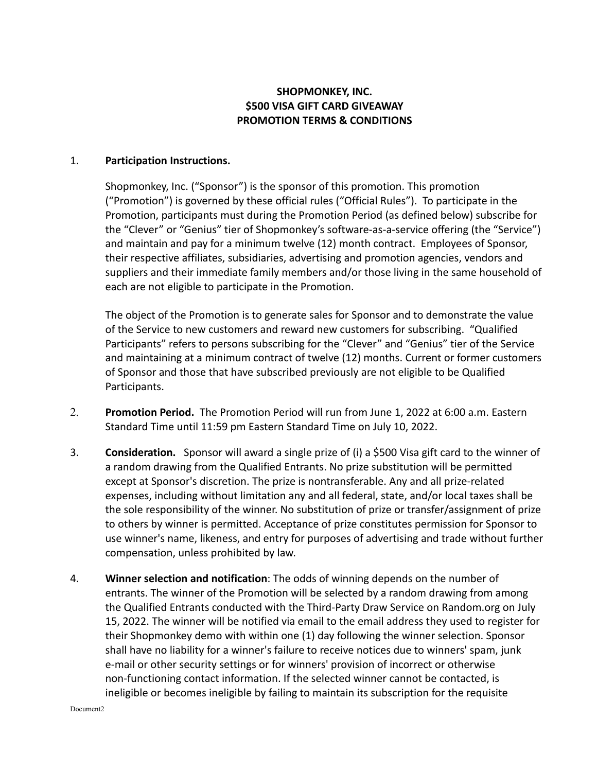## **SHOPMONKEY, INC. \$500 VISA GIFT CARD GIVEAWAY PROMOTION TERMS & CONDITIONS**

## 1. **Participation Instructions.**

Shopmonkey, Inc. ("Sponsor") is the sponsor of this promotion. This promotion ("Promotion") is governed by these official rules ("Official Rules"). To participate in the Promotion, participants must during the Promotion Period (as defined below) subscribe for the "Clever" or "Genius" tier of Shopmonkey's software-as-a-service offering (the "Service") and maintain and pay for a minimum twelve (12) month contract. Employees of Sponsor, their respective affiliates, subsidiaries, advertising and promotion agencies, vendors and suppliers and their immediate family members and/or those living in the same household of each are not eligible to participate in the Promotion.

The object of the Promotion is to generate sales for Sponsor and to demonstrate the value of the Service to new customers and reward new customers for subscribing. "Qualified Participants" refers to persons subscribing for the "Clever" and "Genius" tier of the Service and maintaining at a minimum contract of twelve (12) months. Current or former customers of Sponsor and those that have subscribed previously are not eligible to be Qualified Participants.

- 2. **Promotion Period.** The Promotion Period will run from June 1, 2022 at 6:00 a.m. Eastern Standard Time until 11:59 pm Eastern Standard Time on July 10, 2022.
- 3. **Consideration.** Sponsor will award a single prize of (i) a \$500 Visa gift card to the winner of a random drawing from the Qualified Entrants. No prize substitution will be permitted except at Sponsor's discretion. The prize is nontransferable. Any and all prize-related expenses, including without limitation any and all federal, state, and/or local taxes shall be the sole responsibility of the winner. No substitution of prize or transfer/assignment of prize to others by winner is permitted. Acceptance of prize constitutes permission for Sponsor to use winner's name, likeness, and entry for purposes of advertising and trade without further compensation, unless prohibited by law.
- 4. **Winner selection and notification**: The odds of winning depends on the number of entrants. The winner of the Promotion will be selected by a random drawing from among the Qualified Entrants conducted with the Third-Party Draw Service on Random.org on July 15, 2022. The winner will be notified via email to the email address they used to register for their Shopmonkey demo with within one (1) day following the winner selection. Sponsor shall have no liability for a winner's failure to receive notices due to winners' spam, junk e-mail or other security settings or for winners' provision of incorrect or otherwise non-functioning contact information. If the selected winner cannot be contacted, is ineligible or becomes ineligible by failing to maintain its subscription for the requisite